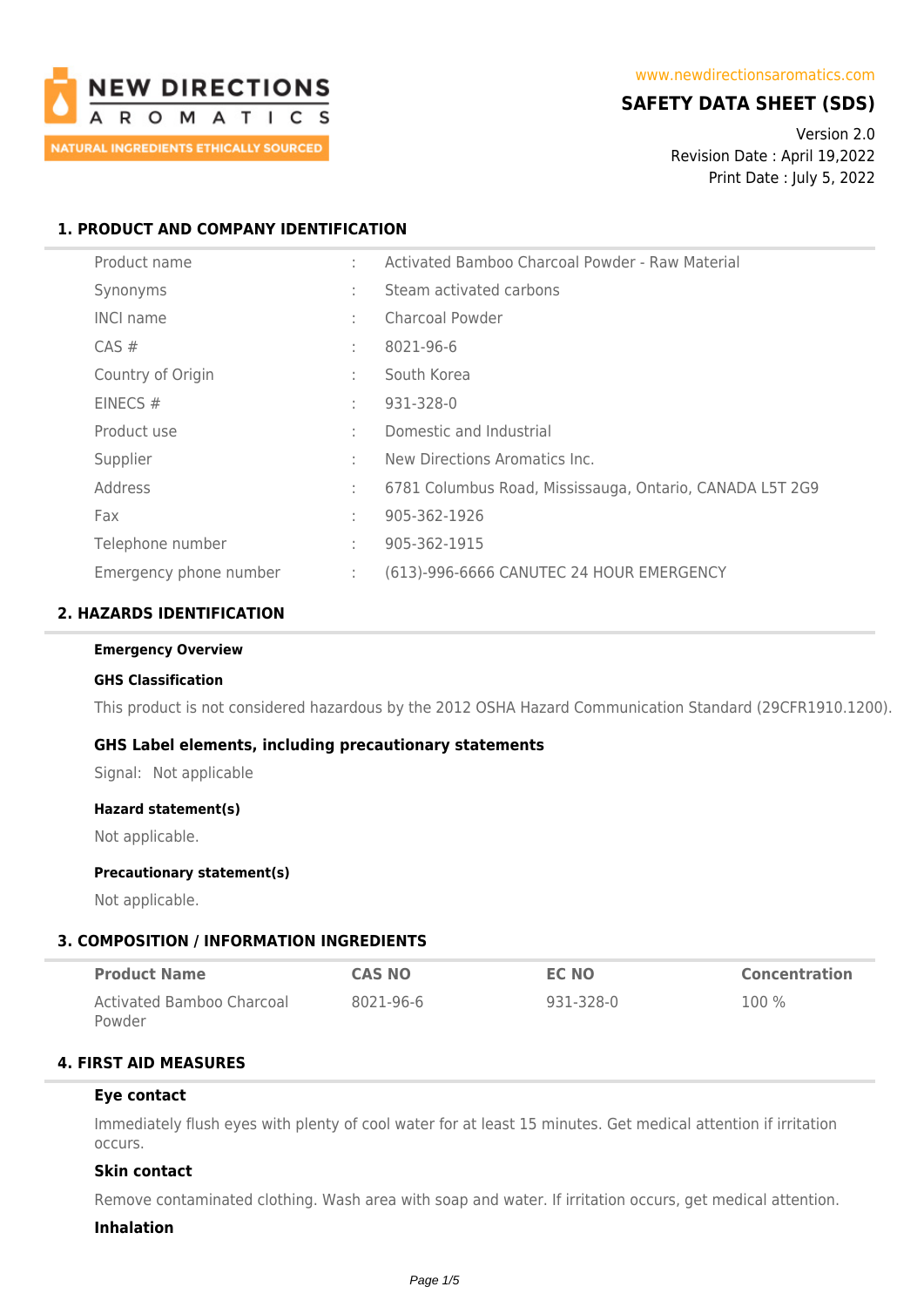

## **SAFETY DATA SHEET (SDS)**

Version 2.0 Revision Date : April 19,2022 Print Date : July 5, 2022

### **1. PRODUCT AND COMPANY IDENTIFICATION**

| Product name           |               | Activated Bamboo Charcoal Powder - Raw Material          |
|------------------------|---------------|----------------------------------------------------------|
| Synonyms               | $\sim$        | Steam activated carbons                                  |
| <b>INCI name</b>       | ÷             | <b>Charcoal Powder</b>                                   |
| $CAS \#$               | ÷             | 8021-96-6                                                |
| Country of Origin      | ÷             | South Korea                                              |
| EINECS#                | ÷             | 931-328-0                                                |
| Product use            | ÷             | Domestic and Industrial                                  |
| Supplier               | ÷             | New Directions Aromatics Inc.                            |
| Address                | ÷             | 6781 Columbus Road, Mississauga, Ontario, CANADA L5T 2G9 |
| Fax                    | ÷             | 905-362-1926                                             |
| Telephone number       | ÷             | 905-362-1915                                             |
| Emergency phone number | $\mathcal{L}$ | (613)-996-6666 CANUTEC 24 HOUR EMERGENCY                 |

### **2. HAZARDS IDENTIFICATION**

#### **Emergency Overview**

#### **GHS Classification**

This product is not considered hazardous by the 2012 OSHA Hazard Communication Standard (29CFR1910.1200).

#### **GHS Label elements, including precautionary statements**

Signal: Not applicable

#### **Hazard statement(s)**

Not applicable.

#### **Precautionary statement(s)**

Not applicable.

#### **3. COMPOSITION / INFORMATION INGREDIENTS**

| <b>Product Name</b>       | <b>CAS NO</b> | EC NO     | <b>Concentration</b> |
|---------------------------|---------------|-----------|----------------------|
| Activated Bamboo Charcoal | 8021-96-6     | 931-328-0 | $100\%$              |
| Powder                    |               |           |                      |

#### **4. FIRST AID MEASURES**

#### **Eye contact**

Immediately flush eyes with plenty of cool water for at least 15 minutes. Get medical attention if irritation occurs.

#### **Skin contact**

Remove contaminated clothing. Wash area with soap and water. If irritation occurs, get medical attention.

#### **Inhalation**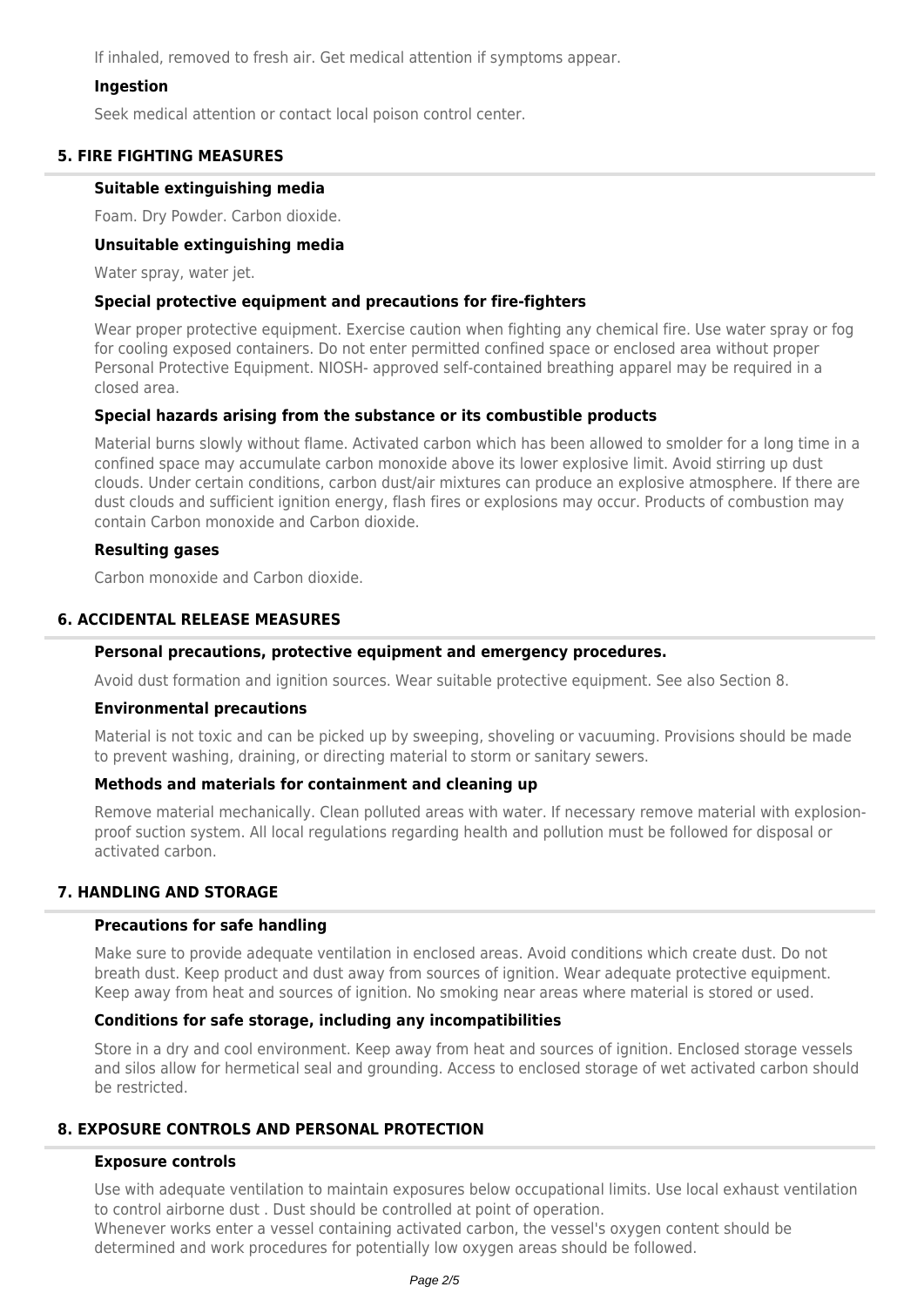If inhaled, removed to fresh air. Get medical attention if symptoms appear.

### **Ingestion**

Seek medical attention or contact local poison control center.

### **5. FIRE FIGHTING MEASURES**

#### **Suitable extinguishing media**

Foam. Dry Powder. Carbon dioxide.

#### **Unsuitable extinguishing media**

Water spray, water jet.

### **Special protective equipment and precautions for fire-fighters**

Wear proper protective equipment. Exercise caution when fighting any chemical fire. Use water spray or fog for cooling exposed containers. Do not enter permitted confined space or enclosed area without proper Personal Protective Equipment. NIOSH- approved self-contained breathing apparel may be required in a closed area.

### **Special hazards arising from the substance or its combustible products**

Material burns slowly without flame. Activated carbon which has been allowed to smolder for a long time in a confined space may accumulate carbon monoxide above its lower explosive limit. Avoid stirring up dust clouds. Under certain conditions, carbon dust/air mixtures can produce an explosive atmosphere. If there are dust clouds and sufficient ignition energy, flash fires or explosions may occur. Products of combustion may contain Carbon monoxide and Carbon dioxide.

### **Resulting gases**

Carbon monoxide and Carbon dioxide.

### **6. ACCIDENTAL RELEASE MEASURES**

### **Personal precautions, protective equipment and emergency procedures.**

Avoid dust formation and ignition sources. Wear suitable protective equipment. See also Section 8.

#### **Environmental precautions**

Material is not toxic and can be picked up by sweeping, shoveling or vacuuming. Provisions should be made to prevent washing, draining, or directing material to storm or sanitary sewers.

#### **Methods and materials for containment and cleaning up**

Remove material mechanically. Clean polluted areas with water. If necessary remove material with explosionproof suction system. All local regulations regarding health and pollution must be followed for disposal or activated carbon.

## **7. HANDLING AND STORAGE**

### **Precautions for safe handling**

Make sure to provide adequate ventilation in enclosed areas. Avoid conditions which create dust. Do not breath dust. Keep product and dust away from sources of ignition. Wear adequate protective equipment. Keep away from heat and sources of ignition. No smoking near areas where material is stored or used.

#### **Conditions for safe storage, including any incompatibilities**

Store in a dry and cool environment. Keep away from heat and sources of ignition. Enclosed storage vessels and silos allow for hermetical seal and grounding. Access to enclosed storage of wet activated carbon should be restricted.

## **8. EXPOSURE CONTROLS AND PERSONAL PROTECTION**

#### **Exposure controls**

Use with adequate ventilation to maintain exposures below occupational limits. Use local exhaust ventilation to control airborne dust . Dust should be controlled at point of operation. Whenever works enter a vessel containing activated carbon, the vessel's oxygen content should be determined and work procedures for potentially low oxygen areas should be followed.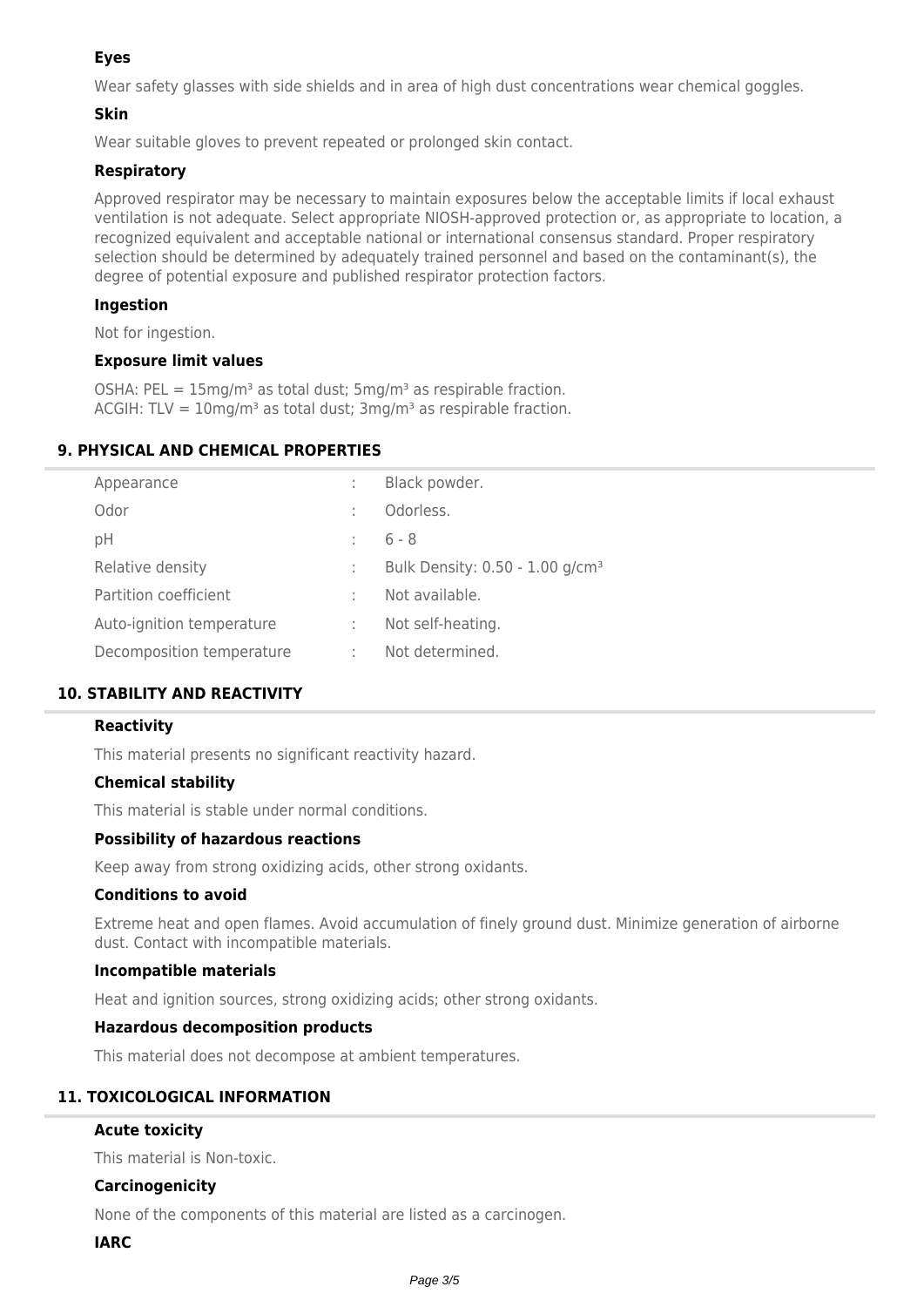## **Eyes**

Wear safety glasses with side shields and in area of high dust concentrations wear chemical goggles.

## **Skin**

Wear suitable gloves to prevent repeated or prolonged skin contact.

## **Respiratory**

Approved respirator may be necessary to maintain exposures below the acceptable limits if local exhaust ventilation is not adequate. Select appropriate NIOSH-approved protection or, as appropriate to location, a recognized equivalent and acceptable national or international consensus standard. Proper respiratory selection should be determined by adequately trained personnel and based on the contaminant(s), the degree of potential exposure and published respirator protection factors.

## **Ingestion**

Not for ingestion.

### **Exposure limit values**

OSHA: PEL =  $15 \text{mg/m}^3$  as total dust;  $5 \text{mg/m}^3$  as respirable fraction. ACGIH: TLV =  $10 \text{mg/m}^3$  as total dust;  $3 \text{mg/m}^3$  as respirable fraction.

## **9. PHYSICAL AND CHEMICAL PROPERTIES**

| Appearance                |              | Black powder.                               |
|---------------------------|--------------|---------------------------------------------|
| Odor                      |              | Odorless.                                   |
| рH                        |              | $6 - 8$                                     |
| Relative density          | ÷            | Bulk Density: 0.50 - 1.00 g/cm <sup>3</sup> |
| Partition coefficient     |              | Not available.                              |
| Auto-ignition temperature | $\mathbb{Z}$ | Not self-heating.                           |
| Decomposition temperature | ÷            | Not determined.                             |

## **10. STABILITY AND REACTIVITY**

## **Reactivity**

This material presents no significant reactivity hazard.

## **Chemical stability**

This material is stable under normal conditions.

#### **Possibility of hazardous reactions**

Keep away from strong oxidizing acids, other strong oxidants.

## **Conditions to avoid**

Extreme heat and open flames. Avoid accumulation of finely ground dust. Minimize generation of airborne dust. Contact with incompatible materials.

#### **Incompatible materials**

Heat and ignition sources, strong oxidizing acids; other strong oxidants.

## **Hazardous decomposition products**

This material does not decompose at ambient temperatures.

# **11. TOXICOLOGICAL INFORMATION**

## **Acute toxicity**

This material is Non-toxic.

## **Carcinogenicity**

None of the components of this material are listed as a carcinogen.

#### **IARC**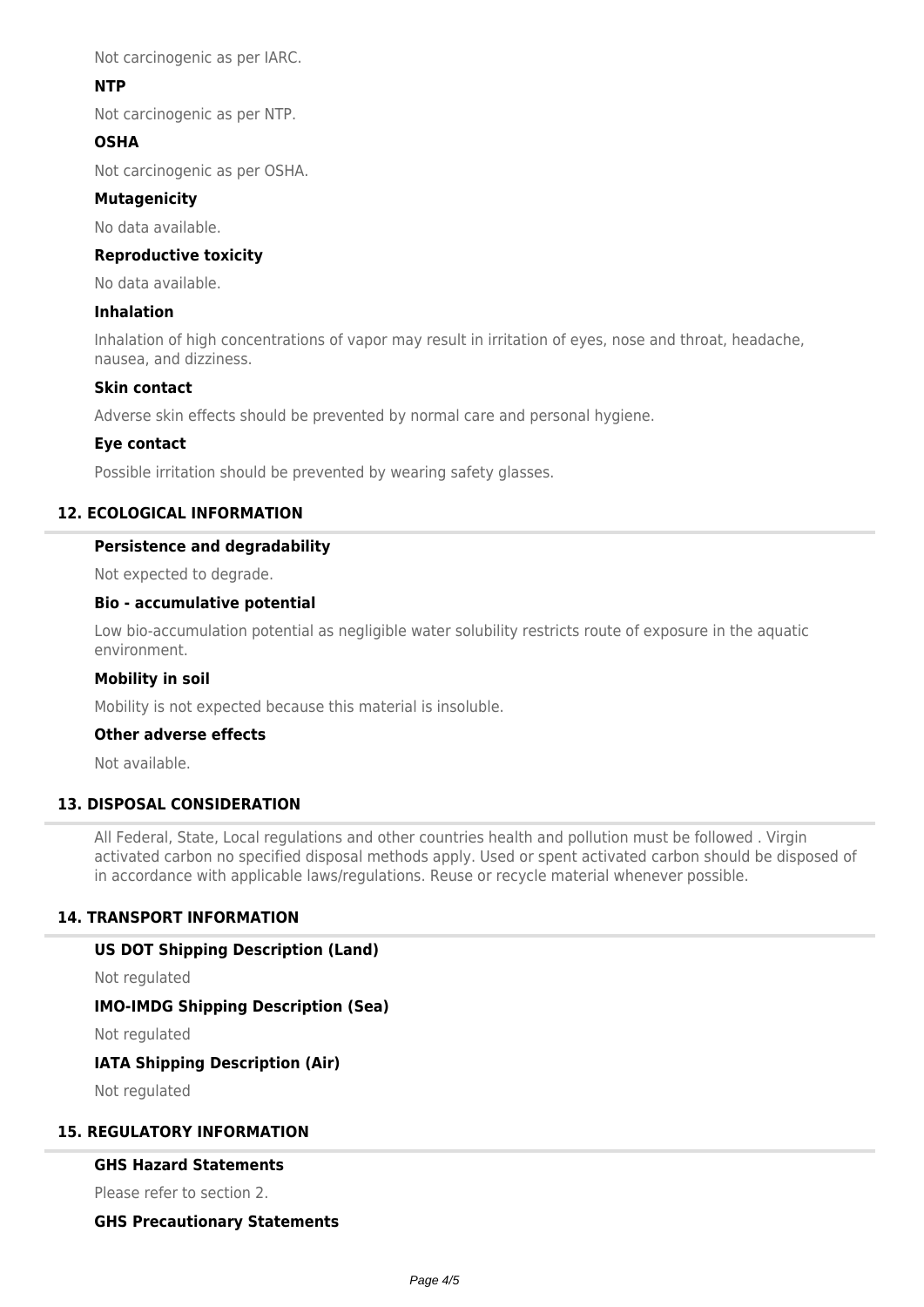Not carcinogenic as per IARC.

## **NTP**

Not carcinogenic as per NTP.

## **OSHA**

Not carcinogenic as per OSHA.

### **Mutagenicity**

No data available.

### **Reproductive toxicity**

No data available.

### **Inhalation**

Inhalation of high concentrations of vapor may result in irritation of eyes, nose and throat, headache, nausea, and dizziness.

### **Skin contact**

Adverse skin effects should be prevented by normal care and personal hygiene.

### **Eye contact**

Possible irritation should be prevented by wearing safety glasses.

## **12. ECOLOGICAL INFORMATION**

### **Persistence and degradability**

Not expected to degrade.

### **Bio - accumulative potential**

Low bio-accumulation potential as negligible water solubility restricts route of exposure in the aquatic environment.

#### **Mobility in soil**

Mobility is not expected because this material is insoluble.

### **Other adverse effects**

Not available.

## **13. DISPOSAL CONSIDERATION**

All Federal, State, Local regulations and other countries health and pollution must be followed . Virgin activated carbon no specified disposal methods apply. Used or spent activated carbon should be disposed of in accordance with applicable laws/regulations. Reuse or recycle material whenever possible.

## **14. TRANSPORT INFORMATION**

#### **US DOT Shipping Description (Land)**

Not regulated

#### **IMO-IMDG Shipping Description (Sea)**

Not regulated

#### **IATA Shipping Description (Air)**

Not regulated

## **15. REGULATORY INFORMATION**

#### **GHS Hazard Statements**

Please refer to section 2.

#### **GHS Precautionary Statements**